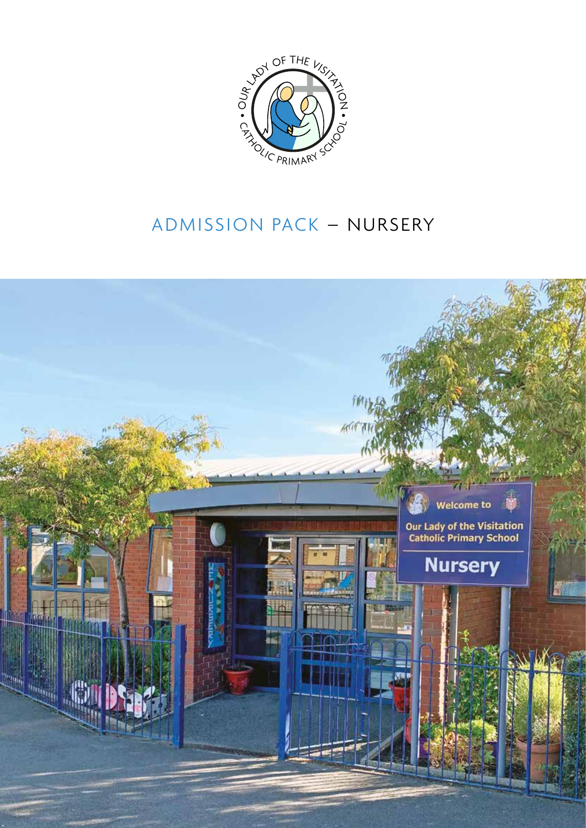

## ADMISSION PACK – NURSERY

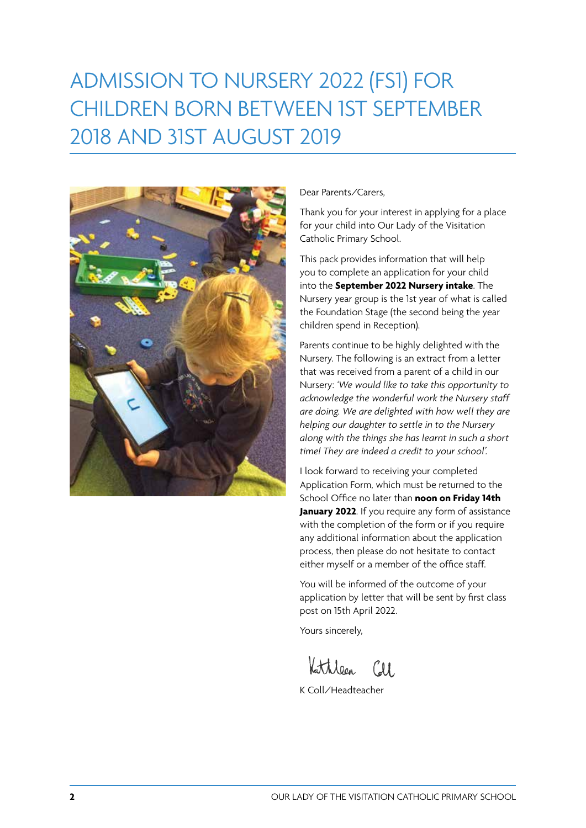# ADMISSION TO NURSERY 2022 (FS1) FOR CHILDREN BORN BETWEEN 1ST SEPTEMBER 2018 AND 31ST AUGUST 2019



Dear Parents/Carers,

Thank you for your interest in applying for a place for your child into Our Lady of the Visitation Catholic Primary School.

This pack provides information that will help you to complete an application for your child into the **September 2022 Nursery intake**. The Nursery year group is the 1st year of what is called the Foundation Stage (the second being the year children spend in Reception).

Parents continue to be highly delighted with the Nursery. The following is an extract from a letter that was received from a parent of a child in our Nursery: *'We would like to take this opportunity to acknowledge the wonderful work the Nursery staff are doing. We are delighted with how well they are helping our daughter to settle in to the Nursery along with the things she has learnt in such a short time! They are indeed a credit to your school'.*

I look forward to receiving your completed Application Form, which must be returned to the School Office no later than **noon on Friday 14th January 2022**. If you require any form of assistance with the completion of the form or if you require any additional information about the application process, then please do not hesitate to contact either myself or a member of the office staff.

You will be informed of the outcome of your application by letter that will be sent by first class post on 15th April 2022.

Yours sincerely,

Kattileen Coll

K Coll/Headteacher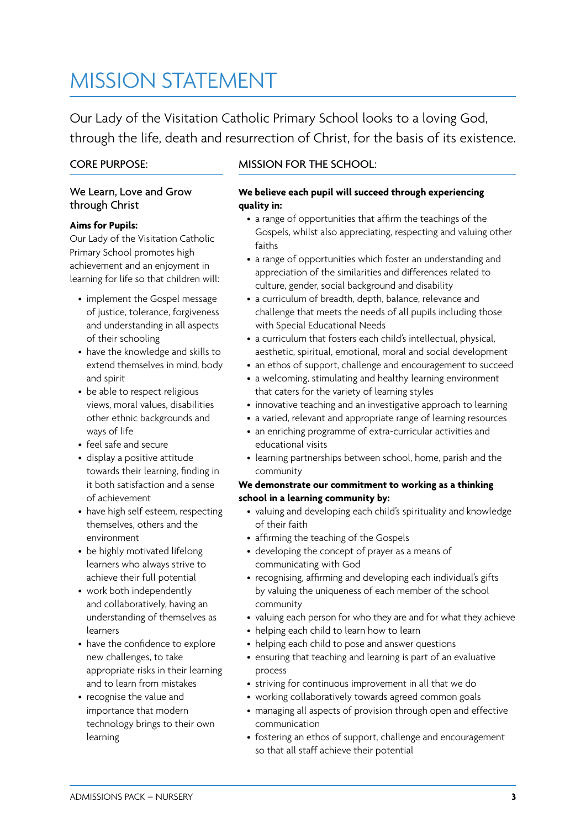## MISSION STATEMENT

Our Lady of the Visitation Catholic Primary School looks to a loving God, through the life, death and resurrection of Christ, for the basis of its existence.

## CORE PURPOSE:

### We Learn, Love and Grow through Christ

### **Aims for Pupils:**

Our Lady of the Visitation Catholic Primary School promotes high achievement and an enjoyment in learning for life so that children will:

- implement the Gospel message of justice, tolerance, forgiveness and understanding in all aspects of their schooling
- have the knowledge and skills to extend themselves in mind, body and spirit
- be able to respect religious views, moral values, disabilities other ethnic backgrounds and ways of life
- feel safe and secure
- display a positive attitude towards their learning, finding in it both satisfaction and a sense of achievement
- have high self esteem, respecting themselves, others and the environment
- be highly motivated lifelong learners who always strive to achieve their full potential
- work both independently and collaboratively, having an understanding of themselves as learners
- have the confidence to explore new challenges, to take appropriate risks in their learning and to learn from mistakes
- recognise the value and importance that modern technology brings to their own learning

## MISSION FOR THE SCHOOL:

#### **We believe each pupil will succeed through experiencing quality in:**

- a range of opportunities that affirm the teachings of the Gospels, whilst also appreciating, respecting and valuing other faiths
- a range of opportunities which foster an understanding and appreciation of the similarities and differences related to culture, gender, social background and disability
- a curriculum of breadth, depth, balance, relevance and challenge that meets the needs of all pupils including those with Special Educational Needs
- a curriculum that fosters each child's intellectual, physical, aesthetic, spiritual, emotional, moral and social development
- an ethos of support, challenge and encouragement to succeed
- a welcoming, stimulating and healthy learning environment that caters for the variety of learning styles
- innovative teaching and an investigative approach to learning
- a varied, relevant and appropriate range of learning resources
- an enriching programme of extra-curricular activities and educational visits
- learning partnerships between school, home, parish and the community

#### **We demonstrate our commitment to working as a thinking school in a learning community by:**

- valuing and developing each child's spirituality and knowledge of their faith
- affirming the teaching of the Gospels
- developing the concept of prayer as a means of communicating with God
- recognising, affirming and developing each individual's gifts by valuing the uniqueness of each member of the school community
- valuing each person for who they are and for what they achieve
- helping each child to learn how to learn
- helping each child to pose and answer questions
- ensuring that teaching and learning is part of an evaluative process
- striving for continuous improvement in all that we do
- working collaboratively towards agreed common goals
- managing all aspects of provision through open and effective communication
- fostering an ethos of support, challenge and encouragement so that all staff achieve their potential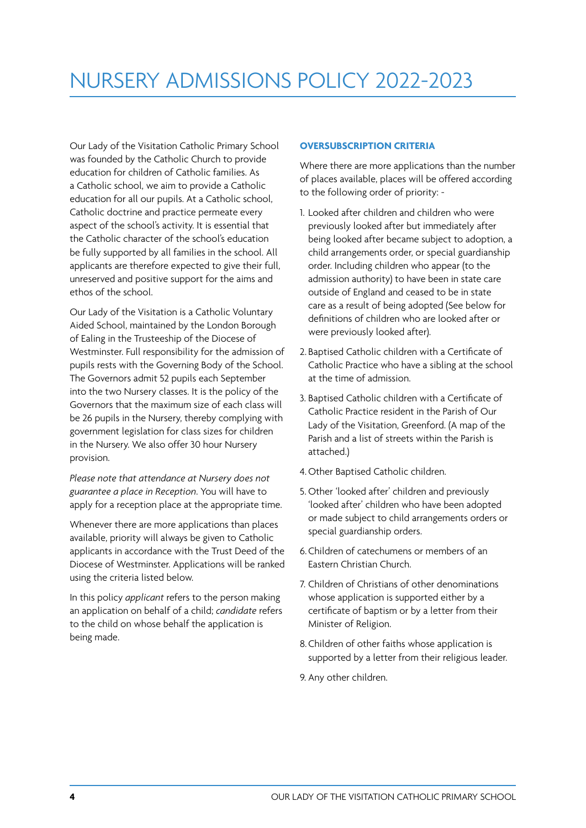Our Lady of the Visitation Catholic Primary School was founded by the Catholic Church to provide education for children of Catholic families. As a Catholic school, we aim to provide a Catholic education for all our pupils. At a Catholic school, Catholic doctrine and practice permeate every aspect of the school's activity. It is essential that the Catholic character of the school's education be fully supported by all families in the school. All applicants are therefore expected to give their full, unreserved and positive support for the aims and ethos of the school.

Our Lady of the Visitation is a Catholic Voluntary Aided School, maintained by the London Borough of Ealing in the Trusteeship of the Diocese of Westminster. Full responsibility for the admission of pupils rests with the Governing Body of the School. The Governors admit 52 pupils each September into the two Nursery classes. It is the policy of the Governors that the maximum size of each class will be 26 pupils in the Nursery, thereby complying with government legislation for class sizes for children in the Nursery. We also offer 30 hour Nursery provision.

*Please note that attendance at Nursery does not guarantee a place in Reception*. You will have to apply for a reception place at the appropriate time.

Whenever there are more applications than places available, priority will always be given to Catholic applicants in accordance with the Trust Deed of the Diocese of Westminster. Applications will be ranked using the criteria listed below.

In this policy *applicant* refers to the person making an application on behalf of a child; *candidate* refers to the child on whose behalf the application is being made.

#### **OVERSUBSCRIPTION CRITERIA**

Where there are more applications than the number of places available, places will be offered according to the following order of priority: -

- 1. Looked after children and children who were previously looked after but immediately after being looked after became subject to adoption, a child arrangements order, or special guardianship order. Including children who appear (to the admission authority) to have been in state care outside of England and ceased to be in state care as a result of being adopted (See below for definitions of children who are looked after or were previously looked after).
- 2. Baptised Catholic children with a Certificate of Catholic Practice who have a sibling at the school at the time of admission.
- 3. Baptised Catholic children with a Certificate of Catholic Practice resident in the Parish of Our Lady of the Visitation, Greenford. (A map of the Parish and a list of streets within the Parish is attached.)
- 4.Other Baptised Catholic children.
- 5. Other 'looked after' children and previously 'looked after' children who have been adopted or made subject to child arrangements orders or special guardianship orders.
- 6.Children of catechumens or members of an Eastern Christian Church.
- 7. Children of Christians of other denominations whose application is supported either by a certificate of baptism or by a letter from their Minister of Religion.
- 8.Children of other faiths whose application is supported by a letter from their religious leader.
- 9. Any other children.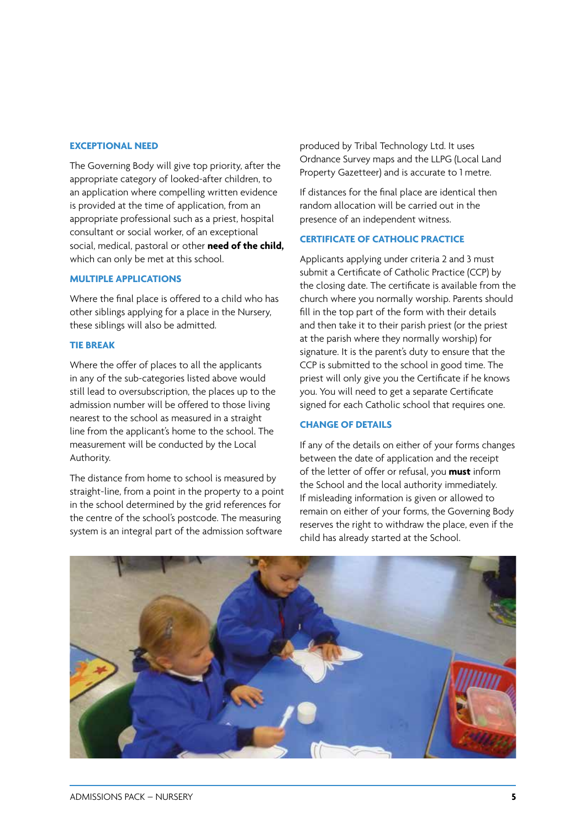#### **EXCEPTIONAL NEED**

The Governing Body will give top priority, after the appropriate category of looked-after children, to an application where compelling written evidence is provided at the time of application, from an appropriate professional such as a priest, hospital consultant or social worker, of an exceptional social, medical, pastoral or other **need of the child,** which can only be met at this school.

#### **MULTIPLE APPLICATIONS**

Where the final place is offered to a child who has other siblings applying for a place in the Nursery, these siblings will also be admitted.

#### **TIE BREAK**

Where the offer of places to all the applicants in any of the sub-categories listed above would still lead to oversubscription, the places up to the admission number will be offered to those living nearest to the school as measured in a straight line from the applicant's home to the school. The measurement will be conducted by the Local Authority.

The distance from home to school is measured by straight-line, from a point in the property to a point in the school determined by the grid references for the centre of the school's postcode. The measuring system is an integral part of the admission software

produced by Tribal Technology Ltd. It uses Ordnance Survey maps and the LLPG (Local Land Property Gazetteer) and is accurate to 1 metre.

If distances for the final place are identical then random allocation will be carried out in the presence of an independent witness.

### **CERTIFICATE OF CATHOLIC PRACTICE**

Applicants applying under criteria 2 and 3 must submit a Certificate of Catholic Practice (CCP) by the closing date. The certificate is available from the church where you normally worship. Parents should fill in the top part of the form with their details and then take it to their parish priest (or the priest at the parish where they normally worship) for signature. It is the parent's duty to ensure that the CCP is submitted to the school in good time. The priest will only give you the Certificate if he knows you. You will need to get a separate Certificate signed for each Catholic school that requires one.

#### **CHANGE OF DETAILS**

If any of the details on either of your forms changes between the date of application and the receipt of the letter of offer or refusal, you **must** inform the School and the local authority immediately. If misleading information is given or allowed to remain on either of your forms, the Governing Body reserves the right to withdraw the place, even if the child has already started at the School.

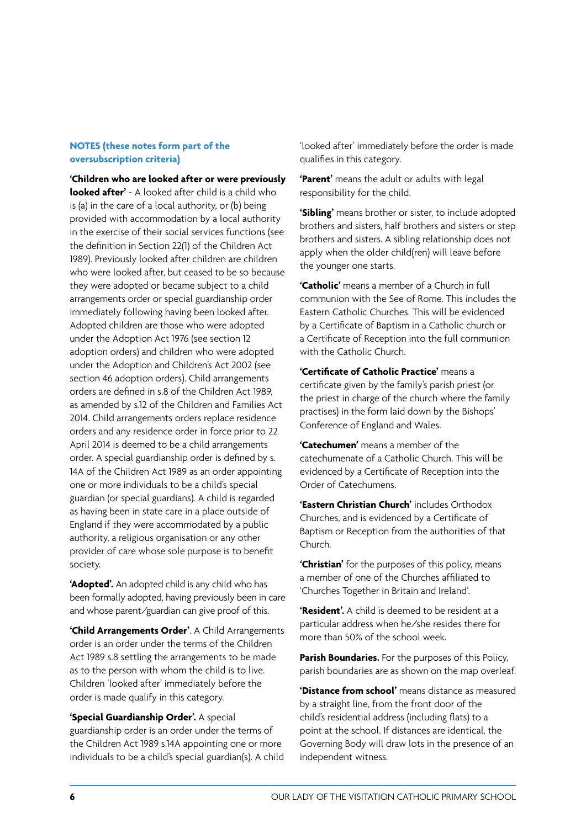#### **NOTES (these notes form part of the oversubscription criteria)**

**'Children who are looked after or were previously looked after'** - A looked after child is a child who is (a) in the care of a local authority, or (b) being provided with accommodation by a local authority in the exercise of their social services functions (see the definition in Section 22(1) of the Children Act 1989). Previously looked after children are children who were looked after, but ceased to be so because they were adopted or became subject to a child arrangements order or special guardianship order immediately following having been looked after. Adopted children are those who were adopted under the Adoption Act 1976 (see section 12 adoption orders) and children who were adopted under the Adoption and Children's Act 2002 (see section 46 adoption orders). Child arrangements orders are defined in s.8 of the Children Act 1989, as amended by s.12 of the Children and Families Act 2014. Child arrangements orders replace residence orders and any residence order in force prior to 22 April 2014 is deemed to be a child arrangements order. A special guardianship order is defined by s. 14A of the Children Act 1989 as an order appointing one or more individuals to be a child's special guardian (or special guardians). A child is regarded as having been in state care in a place outside of England if they were accommodated by a public authority, a religious organisation or any other provider of care whose sole purpose is to benefit society.

**'Adopted'.** An adopted child is any child who has been formally adopted, having previously been in care and whose parent/guardian can give proof of this.

**'Child Arrangements Order'**. A Child Arrangements order is an order under the terms of the Children Act 1989 s.8 settling the arrangements to be made as to the person with whom the child is to live. Children 'looked after' immediately before the order is made qualify in this category.

**'Special Guardianship Order'.** A special guardianship order is an order under the terms of the Children Act 1989 s.14A appointing one or more individuals to be a child's special guardian(s). A child 'looked after' immediately before the order is made qualifies in this category.

**'Parent'** means the adult or adults with legal responsibility for the child.

**'Sibling'** means brother or sister, to include adopted brothers and sisters, half brothers and sisters or step brothers and sisters. A sibling relationship does not apply when the older child(ren) will leave before the younger one starts.

**'Catholic'** means a member of a Church in full communion with the See of Rome. This includes the Eastern Catholic Churches. This will be evidenced by a Certificate of Baptism in a Catholic church or a Certificate of Reception into the full communion with the Catholic Church.

**'Certificate of Catholic Practice'** means a certificate given by the family's parish priest (or the priest in charge of the church where the family practises) in the form laid down by the Bishops' Conference of England and Wales.

**'Catechumen'** means a member of the catechumenate of a Catholic Church. This will be evidenced by a Certificate of Reception into the Order of Catechumens.

**'Eastern Christian Church'** includes Orthodox Churches, and is evidenced by a Certificate of Baptism or Reception from the authorities of that Church.

**'Christian'** for the purposes of this policy, means a member of one of the Churches affiliated to 'Churches Together in Britain and Ireland'.

**'Resident'.** A child is deemed to be resident at a particular address when he/she resides there for more than 50% of the school week.

**Parish Boundaries.** For the purposes of this Policy, parish boundaries are as shown on the map overleaf.

**'Distance from school'** means distance as measured by a straight line, from the front door of the child's residential address (including flats) to a point at the school. If distances are identical, the Governing Body will draw lots in the presence of an independent witness.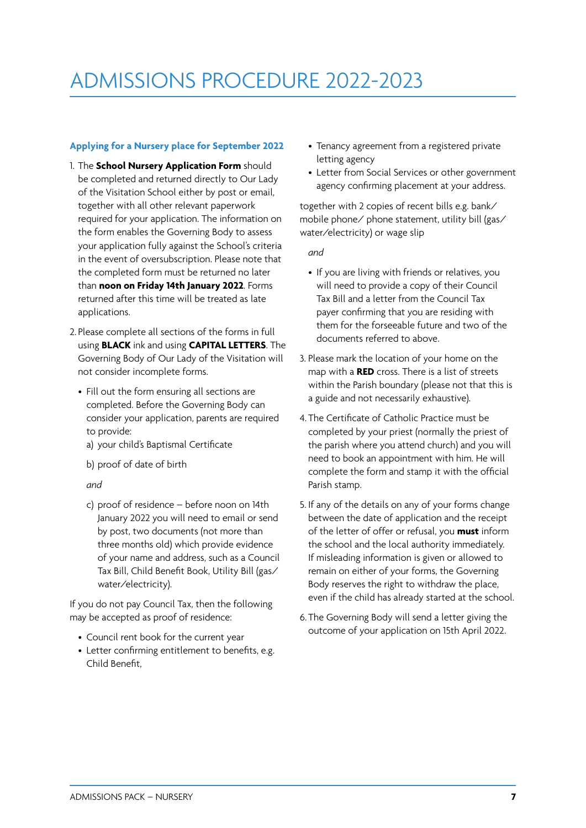## ADMISSIONS PROCEDURE 2022-2023

### **Applying for a Nursery place for September 2022**

- 1. The **School Nursery Application Form** should be completed and returned directly to Our Lady of the Visitation School either by post or email, together with all other relevant paperwork required for your application. The information on the form enables the Governing Body to assess your application fully against the School's criteria in the event of oversubscription. Please note that the completed form must be returned no later than **noon on Friday 14th January 2022**. Forms returned after this time will be treated as late applications.
- 2. Please complete all sections of the forms in full using **BLACK** ink and using **CAPITAL LETTERS**. The Governing Body of Our Lady of the Visitation will not consider incomplete forms.
	- Fill out the form ensuring all sections are completed. Before the Governing Body can consider your application, parents are required to provide:
	- a) your child's Baptismal Certificate
	- b) proof of date of birth

*and*

c) proof of residence – before noon on 14th January 2022 you will need to email or send by post, two documents (not more than three months old) which provide evidence of your name and address, such as a Council Tax Bill, Child Benefit Book, Utility Bill (gas/ water/electricity).

If you do not pay Council Tax, then the following may be accepted as proof of residence:

- Council rent book for the current year
- Letter confirming entitlement to benefits, e.g. Child Benefit,
- Tenancy agreement from a registered private letting agency
- Letter from Social Services or other government agency confirming placement at your address.

together with 2 copies of recent bills e.g. bank/ mobile phone/ phone statement, utility bill (gas/ water/electricity) or wage slip

*and*

- If you are living with friends or relatives, you will need to provide a copy of their Council Tax Bill and a letter from the Council Tax payer confirming that you are residing with them for the forseeable future and two of the documents referred to above.
- 3. Please mark the location of your home on the map with a **RED** cross. There is a list of streets within the Parish boundary (please not that this is a guide and not necessarily exhaustive).
- 4. The Certificate of Catholic Practice must be completed by your priest (normally the priest of the parish where you attend church) and you will need to book an appointment with him. He will complete the form and stamp it with the official Parish stamp.
- 5. If any of the details on any of your forms change between the date of application and the receipt of the letter of offer or refusal, you **must** inform the school and the local authority immediately. If misleading information is given or allowed to remain on either of your forms, the Governing Body reserves the right to withdraw the place, even if the child has already started at the school.
- 6.The Governing Body will send a letter giving the outcome of your application on 15th April 2022.